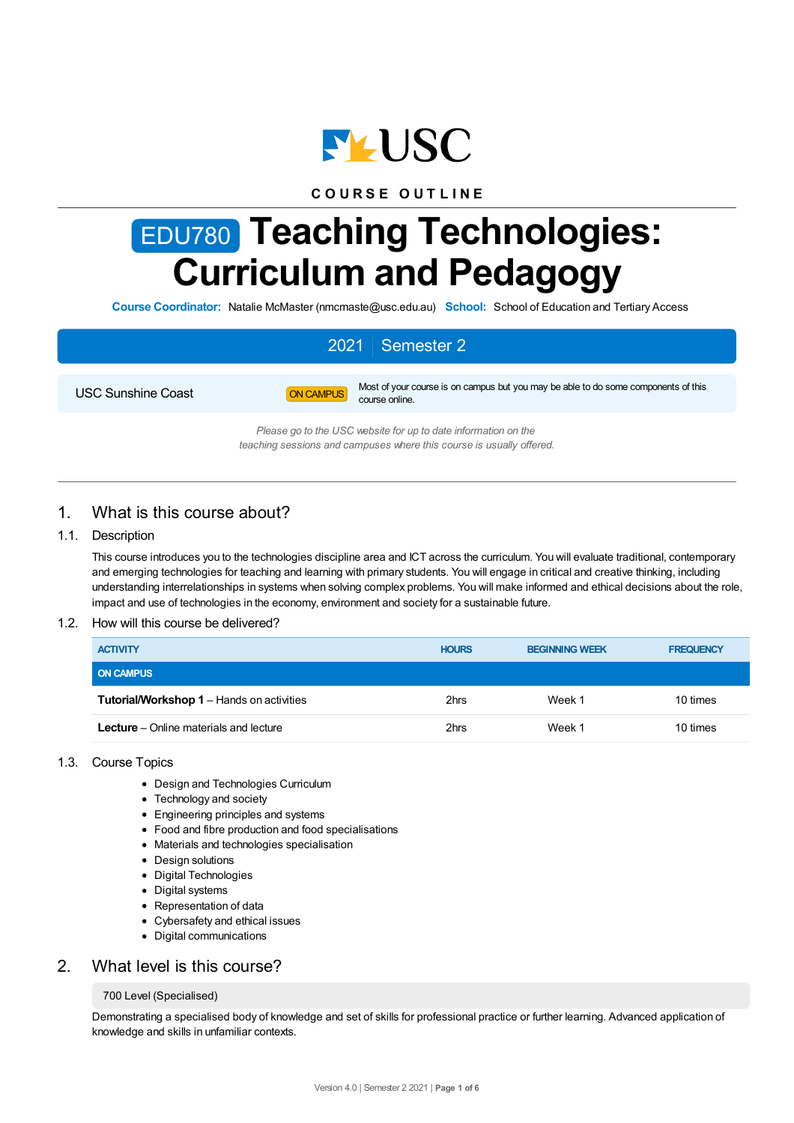

## **C O U R S E O U T L I N E**

# EDU780 **Teaching Technologies: Curriculum and Pedagogy**

**Course Coordinator:** Natalie McMaster (nmcmaste@usc.edu.au) **School:** School of Education and Tertiary Access

# 2021 Semester 2



USC Sunshine Coast **ON CAMPUS** Most of your course is on campus but you may be able to do some components of this course online.

> *Please go to the USC website for up to date information on the teaching sessions and campuses where this course is usually offered.*

# 1. What is this course about?

#### 1.1. Description

This course introduces you to the technologies discipline area and ICT across the curriculum. You will evaluate traditional, contemporary and emerging technologies for teaching and learning with primary students. You will engage in critical and creative thinking, including understanding interrelationships in systems when solving complex problems. You will make informed and ethical decisions about the role, impact and use of technologies in the economy, environment and society for a sustainable future.

#### 1.2. How will this course be delivered?

| <b>ACTIVITY</b>                                  | <b>HOURS</b> | <b>BEGINNING WEEK</b> | <b>FREQUENCY</b> |
|--------------------------------------------------|--------------|-----------------------|------------------|
| <b>ON CAMPUS</b>                                 |              |                       |                  |
| <b>Tutorial/Workshop 1 - Hands on activities</b> | 2hrs         | Week 1                | 10 times         |
| <b>Lecture</b> – Online materials and lecture    | 2hrs         | Week 1                | 10 times         |

#### 1.3. Course Topics

- Design and Technologies Curriculum
- Technology and society
- Engineering principles and systems
- Food and fibre production and food specialisations
- Materials and technologies specialisation
- Design solutions
- Digital Technologies
- Digital systems
- Representation of data
- Cybersafety and ethical issues
- Digital communications

# 2. What level is this course?

#### 700 Level (Specialised)

Demonstrating a specialised body of knowledge and set of skills for professional practice or further learning. Advanced application of knowledge and skills in unfamiliar contexts.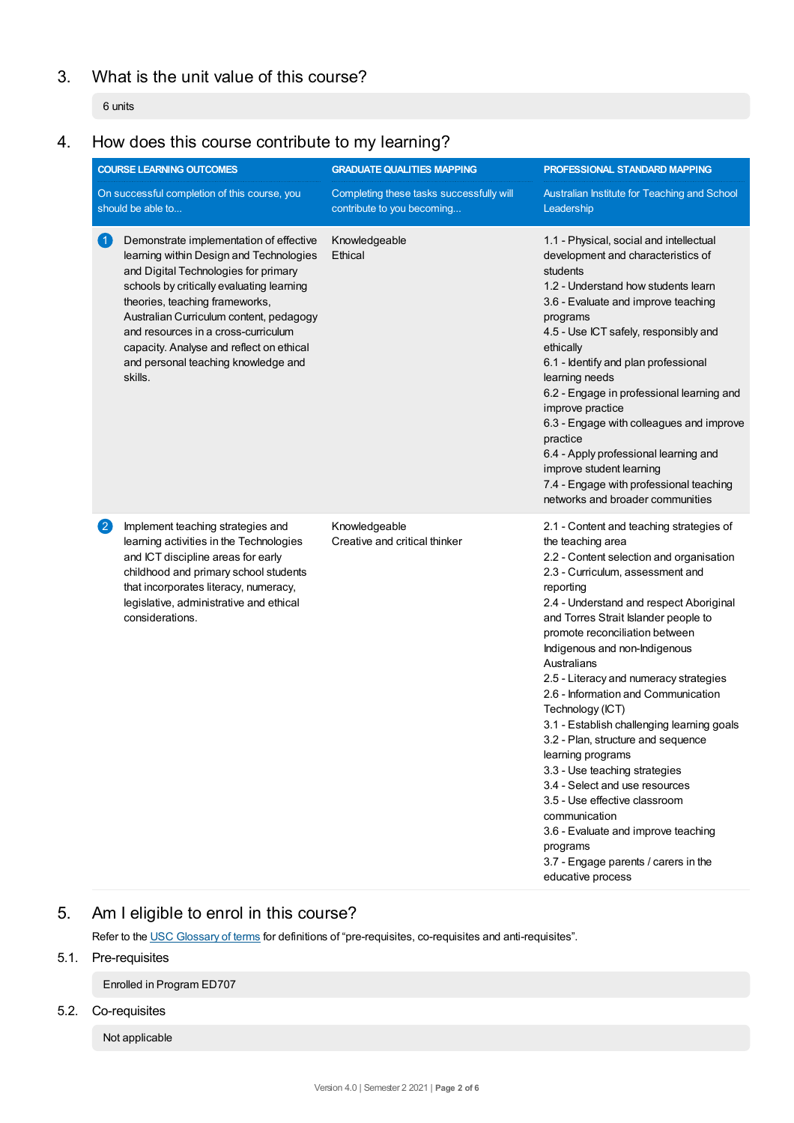# 3. What is the unit value of this course?

6 units

# 4. How does this course contribute to my learning?

| <b>COURSE LEARNING OUTCOMES</b>                                   |                                                                                                                                                                                                                                                                                                                                                                                           | <b>GRADUATE QUALITIES MAPPING</b>                                      | PROFESSIONAL STANDARD MAPPING                                                                                                                                                                                                                                                                                                                                                                                                                                                                                                                                                                                                                                                                                                                                                      |  |
|-------------------------------------------------------------------|-------------------------------------------------------------------------------------------------------------------------------------------------------------------------------------------------------------------------------------------------------------------------------------------------------------------------------------------------------------------------------------------|------------------------------------------------------------------------|------------------------------------------------------------------------------------------------------------------------------------------------------------------------------------------------------------------------------------------------------------------------------------------------------------------------------------------------------------------------------------------------------------------------------------------------------------------------------------------------------------------------------------------------------------------------------------------------------------------------------------------------------------------------------------------------------------------------------------------------------------------------------------|--|
| On successful completion of this course, you<br>should be able to |                                                                                                                                                                                                                                                                                                                                                                                           | Completing these tasks successfully will<br>contribute to you becoming | Australian Institute for Teaching and School<br>Leadership                                                                                                                                                                                                                                                                                                                                                                                                                                                                                                                                                                                                                                                                                                                         |  |
| 0                                                                 | Demonstrate implementation of effective<br>learning within Design and Technologies<br>and Digital Technologies for primary<br>schools by critically evaluating learning<br>theories, teaching frameworks,<br>Australian Curriculum content, pedagogy<br>and resources in a cross-curriculum<br>capacity. Analyse and reflect on ethical<br>and personal teaching knowledge and<br>skills. | Knowledgeable<br>Ethical                                               | 1.1 - Physical, social and intellectual<br>development and characteristics of<br>students<br>1.2 - Understand how students learn<br>3.6 - Evaluate and improve teaching<br>programs<br>4.5 - Use ICT safely, responsibly and<br>ethically<br>6.1 - Identify and plan professional<br>learning needs<br>6.2 - Engage in professional learning and<br>improve practice<br>6.3 - Engage with colleagues and improve<br>practice<br>6.4 - Apply professional learning and<br>improve student learning<br>7.4 - Engage with professional teaching<br>networks and broader communities                                                                                                                                                                                                   |  |
| 2                                                                 | Implement teaching strategies and<br>learning activities in the Technologies<br>and ICT discipline areas for early<br>childhood and primary school students<br>that incorporates literacy, numeracy,<br>legislative, administrative and ethical<br>considerations.                                                                                                                        | Knowledgeable<br>Creative and critical thinker                         | 2.1 - Content and teaching strategies of<br>the teaching area<br>2.2 - Content selection and organisation<br>2.3 - Curriculum, assessment and<br>reporting<br>2.4 - Understand and respect Aboriginal<br>and Torres Strait Islander people to<br>promote reconciliation between<br>Indigenous and non-Indigenous<br>Australians<br>2.5 - Literacy and numeracy strategies<br>2.6 - Information and Communication<br>Technology (ICT)<br>3.1 - Establish challenging learning goals<br>3.2 - Plan, structure and sequence<br>learning programs<br>3.3 - Use teaching strategies<br>3.4 - Select and use resources<br>3.5 - Use effective classroom<br>communication<br>3.6 - Evaluate and improve teaching<br>programs<br>3.7 - Engage parents / carers in the<br>educative process |  |

# 5. Am Ieligible to enrol in this course?

Refer to the USC [Glossary](https://www.usc.edu.au/about/policies-and-procedures/glossary-of-terms-for-policy-and-procedures) of terms for definitions of "pre-requisites, co-requisites and anti-requisites".

# 5.1. Pre-requisites

Enrolled in Program ED707

5.2. Co-requisites

Not applicable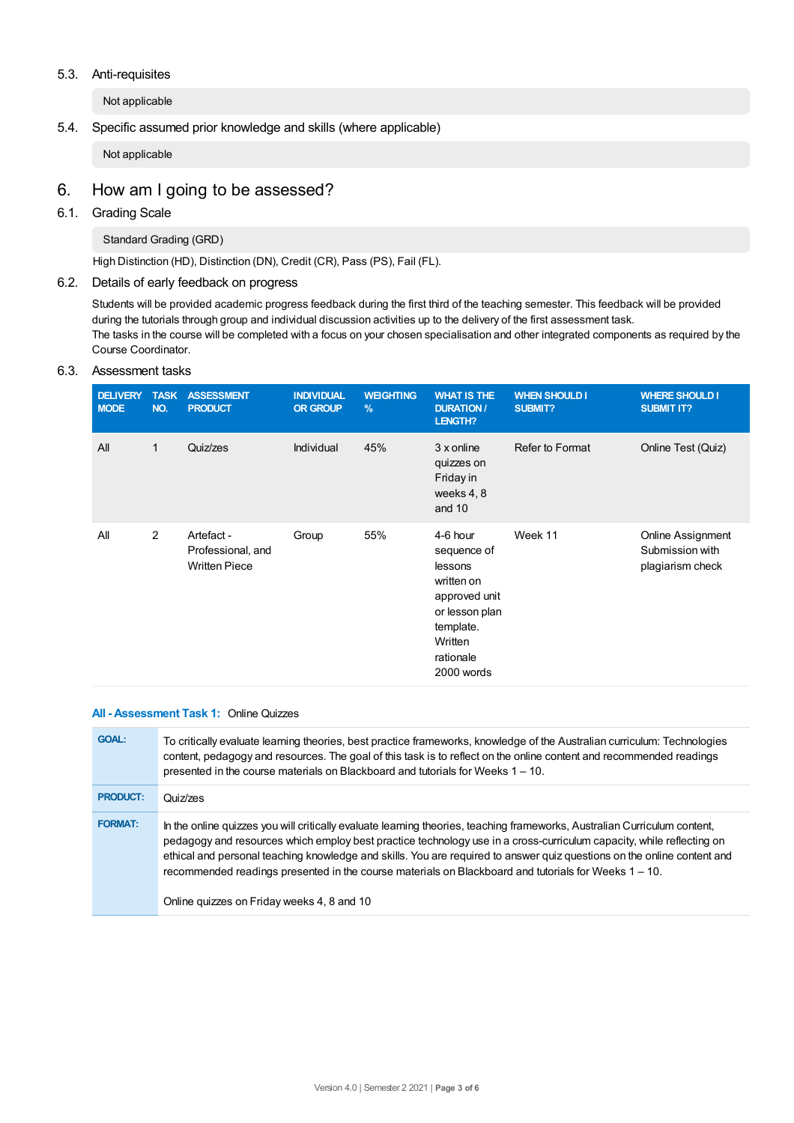#### 5.3. Anti-requisites

Not applicable

#### 5.4. Specific assumed prior knowledge and skills (where applicable)

Not applicable

# 6. How am Igoing to be assessed?

#### 6.1. Grading Scale

Standard Grading (GRD)

High Distinction (HD), Distinction (DN), Credit (CR), Pass (PS), Fail (FL).

#### 6.2. Details of early feedback on progress

Students will be provided academic progress feedback during the first third of the teaching semester. This feedback will be provided during the tutorials through group and individual discussion activities up to the delivery of the first assessment task. The tasks in the course will be completed with a focus on your chosen specialisation and other integrated components as required by the Course Coordinator.

#### 6.3. Assessment tasks

| <b>DELIVERY</b><br><b>MODE</b> | <b>TASK</b><br>NO. | <b>ASSESSMENT</b><br><b>PRODUCT</b>                     | <b>INDIVIDUAL</b><br><b>OR GROUP</b> | <b>WEIGHTING</b><br>$\frac{9}{6}$ | <b>WHAT IS THE</b><br><b>DURATION/</b><br>LENGTH?                                                                                      | <b>WHEN SHOULD I</b><br>SUBMIT? | <b>WHERE SHOULD I</b><br><b>SUBMIT IT?</b>               |
|--------------------------------|--------------------|---------------------------------------------------------|--------------------------------------|-----------------------------------|----------------------------------------------------------------------------------------------------------------------------------------|---------------------------------|----------------------------------------------------------|
| All                            | 1                  | Quiz/zes                                                | Individual                           | 45%                               | 3 x online<br>quizzes on<br>Friday in<br>weeks 4, 8<br>and $10$                                                                        | Refer to Format                 | Online Test (Quiz)                                       |
| All                            | $\overline{2}$     | Artefact -<br>Professional, and<br><b>Written Piece</b> | Group                                | 55%                               | 4-6 hour<br>sequence of<br>lessons<br>written on<br>approved unit<br>or lesson plan<br>template.<br>Written<br>rationale<br>2000 words | Week 11                         | Online Assignment<br>Submission with<br>plagiarism check |

#### **All - Assessment Task 1:** Online Quizzes

| <b>GOAL:</b>    | To critically evaluate learning theories, best practice frameworks, knowledge of the Australian curriculum: Technologies<br>content, pedagogy and resources. The goal of this task is to reflect on the online content and recommended readings<br>presented in the course materials on Blackboard and tutorials for Weeks 1 - 10.                                                                                                                                                                                                 |
|-----------------|------------------------------------------------------------------------------------------------------------------------------------------------------------------------------------------------------------------------------------------------------------------------------------------------------------------------------------------------------------------------------------------------------------------------------------------------------------------------------------------------------------------------------------|
| <b>PRODUCT:</b> | Quiz/zes                                                                                                                                                                                                                                                                                                                                                                                                                                                                                                                           |
| <b>FORMAT:</b>  | In the online quizzes you will critically evaluate learning theories, teaching frameworks, Australian Curriculum content,<br>pedagogy and resources which employ best practice technology use in a cross-curriculum capacity, while reflecting on<br>ethical and personal teaching knowledge and skills. You are required to answer quiz questions on the online content and<br>recommended readings presented in the course materials on Blackboard and tutorials for Weeks 1 – 10.<br>Online guizzes on Friday weeks 4, 8 and 10 |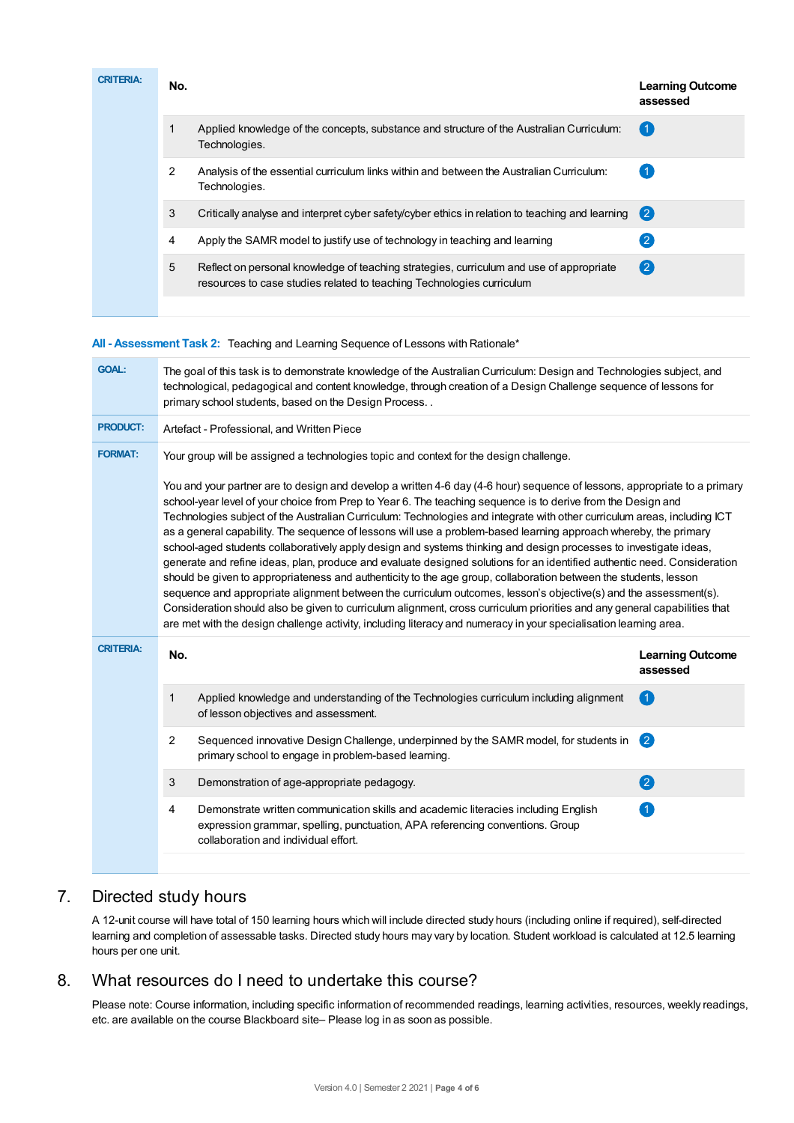| <b>CRITERIA:</b> | No. |                                                                                                                                                                  | <b>Learning Outcome</b><br>assessed |
|------------------|-----|------------------------------------------------------------------------------------------------------------------------------------------------------------------|-------------------------------------|
|                  |     | Applied knowledge of the concepts, substance and structure of the Australian Curriculum:<br>Technologies.                                                        | 〔1                                  |
|                  | 2   | Analysis of the essential curriculum links within and between the Australian Curriculum:<br>Technologies.                                                        |                                     |
|                  | 3   | Critically analyse and interpret cyber safety/cyber ethics in relation to teaching and learning (2)                                                              |                                     |
|                  | 4   | Apply the SAMR model to justify use of technology in teaching and learning                                                                                       |                                     |
|                  | 5   | Reflect on personal knowledge of teaching strategies, curriculum and use of appropriate<br>resources to case studies related to teaching Technologies curriculum | $\mathbf{2}$                        |
|                  |     |                                                                                                                                                                  |                                     |

**All - Assessment Task 2:** Teaching and Learning Sequence of Lessons with Rationale\*

| <b>GOAL:</b>     | The goal of this task is to demonstrate knowledge of the Australian Curriculum: Design and Technologies subject, and<br>technological, pedagogical and content knowledge, through creation of a Design Challenge sequence of lessons for<br>primary school students, based on the Design Process                                                                                                                                                                                                                                                                                                                                                                                                                                                                                                                                                                                                                                                                                                                                                                                                                                                                                                                                     |                                                                                                                                                                                                             |                                     |  |  |  |
|------------------|--------------------------------------------------------------------------------------------------------------------------------------------------------------------------------------------------------------------------------------------------------------------------------------------------------------------------------------------------------------------------------------------------------------------------------------------------------------------------------------------------------------------------------------------------------------------------------------------------------------------------------------------------------------------------------------------------------------------------------------------------------------------------------------------------------------------------------------------------------------------------------------------------------------------------------------------------------------------------------------------------------------------------------------------------------------------------------------------------------------------------------------------------------------------------------------------------------------------------------------|-------------------------------------------------------------------------------------------------------------------------------------------------------------------------------------------------------------|-------------------------------------|--|--|--|
| <b>PRODUCT:</b>  | Artefact - Professional, and Written Piece                                                                                                                                                                                                                                                                                                                                                                                                                                                                                                                                                                                                                                                                                                                                                                                                                                                                                                                                                                                                                                                                                                                                                                                           |                                                                                                                                                                                                             |                                     |  |  |  |
| <b>FORMAT:</b>   | Your group will be assigned a technologies topic and context for the design challenge.                                                                                                                                                                                                                                                                                                                                                                                                                                                                                                                                                                                                                                                                                                                                                                                                                                                                                                                                                                                                                                                                                                                                               |                                                                                                                                                                                                             |                                     |  |  |  |
|                  | You and your partner are to design and develop a written 4-6 day (4-6 hour) sequence of lessons, appropriate to a primary<br>school-year level of your choice from Prep to Year 6. The teaching sequence is to derive from the Design and<br>Technologies subject of the Australian Curriculum: Technologies and integrate with other curriculum areas, including ICT<br>as a general capability. The sequence of lessons will use a problem-based learning approach whereby, the primary<br>school-aged students collaboratively apply design and systems thinking and design processes to investigate ideas,<br>generate and refine ideas, plan, produce and evaluate designed solutions for an identified authentic need. Consideration<br>should be given to appropriateness and authenticity to the age group, collaboration between the students, lesson<br>sequence and appropriate alignment between the curriculum outcomes, lesson's objective(s) and the assessment(s).<br>Consideration should also be given to curriculum alignment, cross curriculum priorities and any general capabilities that<br>are met with the design challenge activity, including literacy and numeracy in your specialisation learning area. |                                                                                                                                                                                                             |                                     |  |  |  |
| <b>CRITERIA:</b> | No.                                                                                                                                                                                                                                                                                                                                                                                                                                                                                                                                                                                                                                                                                                                                                                                                                                                                                                                                                                                                                                                                                                                                                                                                                                  |                                                                                                                                                                                                             | <b>Learning Outcome</b><br>assessed |  |  |  |
|                  | $\mathbf 1$                                                                                                                                                                                                                                                                                                                                                                                                                                                                                                                                                                                                                                                                                                                                                                                                                                                                                                                                                                                                                                                                                                                                                                                                                          | Applied knowledge and understanding of the Technologies curriculum including alignment<br>of lesson objectives and assessment.                                                                              | $\Box$                              |  |  |  |
|                  | $\overline{2}$                                                                                                                                                                                                                                                                                                                                                                                                                                                                                                                                                                                                                                                                                                                                                                                                                                                                                                                                                                                                                                                                                                                                                                                                                       | Sequenced innovative Design Challenge, underpinned by the SAMR model, for students in<br>primary school to engage in problem-based learning.                                                                | 2                                   |  |  |  |
|                  | 3                                                                                                                                                                                                                                                                                                                                                                                                                                                                                                                                                                                                                                                                                                                                                                                                                                                                                                                                                                                                                                                                                                                                                                                                                                    | Demonstration of age-appropriate pedagogy.                                                                                                                                                                  | 2                                   |  |  |  |
|                  | 4                                                                                                                                                                                                                                                                                                                                                                                                                                                                                                                                                                                                                                                                                                                                                                                                                                                                                                                                                                                                                                                                                                                                                                                                                                    | Demonstrate written communication skills and academic literacies including English<br>expression grammar, spelling, punctuation, APA referencing conventions. Group<br>collaboration and individual effort. | $\blacksquare$                      |  |  |  |

# 7. Directed study hours

A 12-unit course will have total of 150 learning hours which will include directed study hours (including online if required), self-directed learning and completion of assessable tasks. Directed study hours may vary by location. Student workload is calculated at 12.5 learning hours per one unit.

# 8. What resources do I need to undertake this course?

Please note: Course information, including specific information of recommended readings, learning activities, resources, weekly readings, etc. are available on the course Blackboard site– Please log in as soon as possible.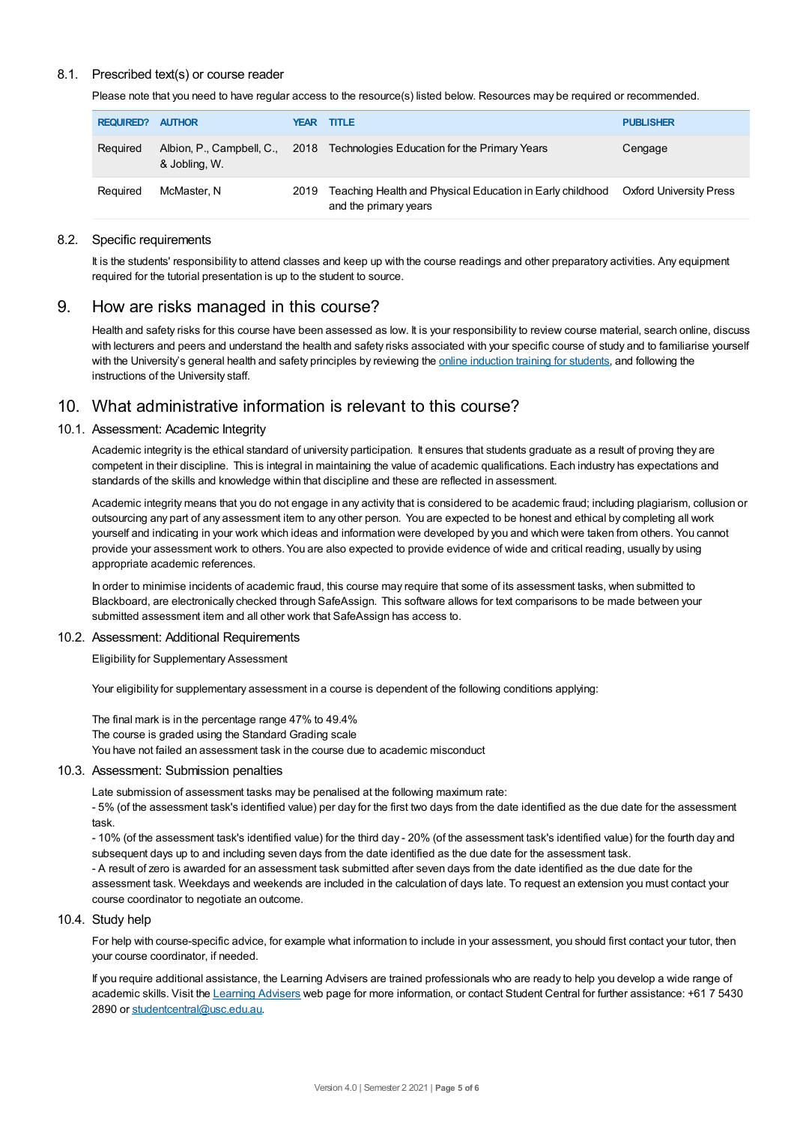#### 8.1. Prescribed text(s) or course reader

Please note that you need to have regular access to the resource(s) listed below. Resources may be required or recommended.

| <b>REQUIRED?</b> | <b>AUTHOR</b> | YEAR | <b>TITLE</b>                                                                       | <b>PUBLISHER</b>               |
|------------------|---------------|------|------------------------------------------------------------------------------------|--------------------------------|
| Reguired         | & Jobling, W. |      | Albion, P., Campbell, C., 2018 Technologies Education for the Primary Years        | Cengage                        |
| Reguired         | McMaster. N   | 2019 | Teaching Health and Physical Education in Early childhood<br>and the primary years | <b>Oxford University Press</b> |

#### 8.2. Specific requirements

It is the students' responsibility to attend classes and keep up with the course readings and other preparatory activities. Any equipment required for the tutorial presentation is up to the student to source.

### 9. How are risks managed in this course?

Health and safety risks for this course have been assessed as low. It is your responsibility to review course material, search online, discuss with lecturers and peers and understand the health and safety risks associated with your specific course of study and to familiarise yourself with the University's general health and safety principles by reviewing the online [induction](https://online.usc.edu.au/webapps/blackboard/content/listContentEditable.jsp?content_id=_632657_1&course_id=_14432_1) training for students, and following the instructions of the University staff.

## 10. What administrative information is relevant to this course?

#### 10.1. Assessment: Academic Integrity

Academic integrity is the ethical standard of university participation. It ensures that students graduate as a result of proving they are competent in their discipline. This is integral in maintaining the value of academic qualifications. Each industry has expectations and standards of the skills and knowledge within that discipline and these are reflected in assessment.

Academic integrity means that you do not engage in any activity that is considered to be academic fraud; including plagiarism, collusion or outsourcing any part of any assessment item to any other person. You are expected to be honest and ethical by completing all work yourself and indicating in your work which ideas and information were developed by you and which were taken from others. You cannot provide your assessment work to others.You are also expected to provide evidence of wide and critical reading, usually by using appropriate academic references.

In order to minimise incidents of academic fraud, this course may require that some of its assessment tasks, when submitted to Blackboard, are electronically checked through SafeAssign. This software allows for text comparisons to be made between your submitted assessment item and all other work that SafeAssign has access to.

#### 10.2. Assessment: Additional Requirements

Eligibility for Supplementary Assessment

Your eligibility for supplementary assessment in a course is dependent of the following conditions applying:

The final mark is in the percentage range 47% to 49.4% The course is graded using the Standard Grading scale You have not failed an assessment task in the course due to academic misconduct

#### 10.3. Assessment: Submission penalties

Late submission of assessment tasks may be penalised at the following maximum rate:

- 5% (of the assessment task's identified value) per day for the first two days from the date identified as the due date for the assessment task.

- 10% (of the assessment task's identified value) for the third day - 20% (of the assessment task's identified value) for the fourth day and subsequent days up to and including seven days from the date identified as the due date for the assessment task.

- A result of zero is awarded for an assessment task submitted after seven days from the date identified as the due date for the assessment task. Weekdays and weekends are included in the calculation of days late. To request an extension you must contact your course coordinator to negotiate an outcome.

#### 10.4. Study help

For help with course-specific advice, for example what information to include in your assessment, you should first contact your tutor, then your course coordinator, if needed.

If you require additional assistance, the Learning Advisers are trained professionals who are ready to help you develop a wide range of academic skills. Visit the Learning [Advisers](https://www.usc.edu.au/current-students/student-support/academic-and-study-support/learning-advisers) web page for more information, or contact Student Central for further assistance: +61 7 5430 2890 or [studentcentral@usc.edu.au](mailto:studentcentral@usc.edu.au).